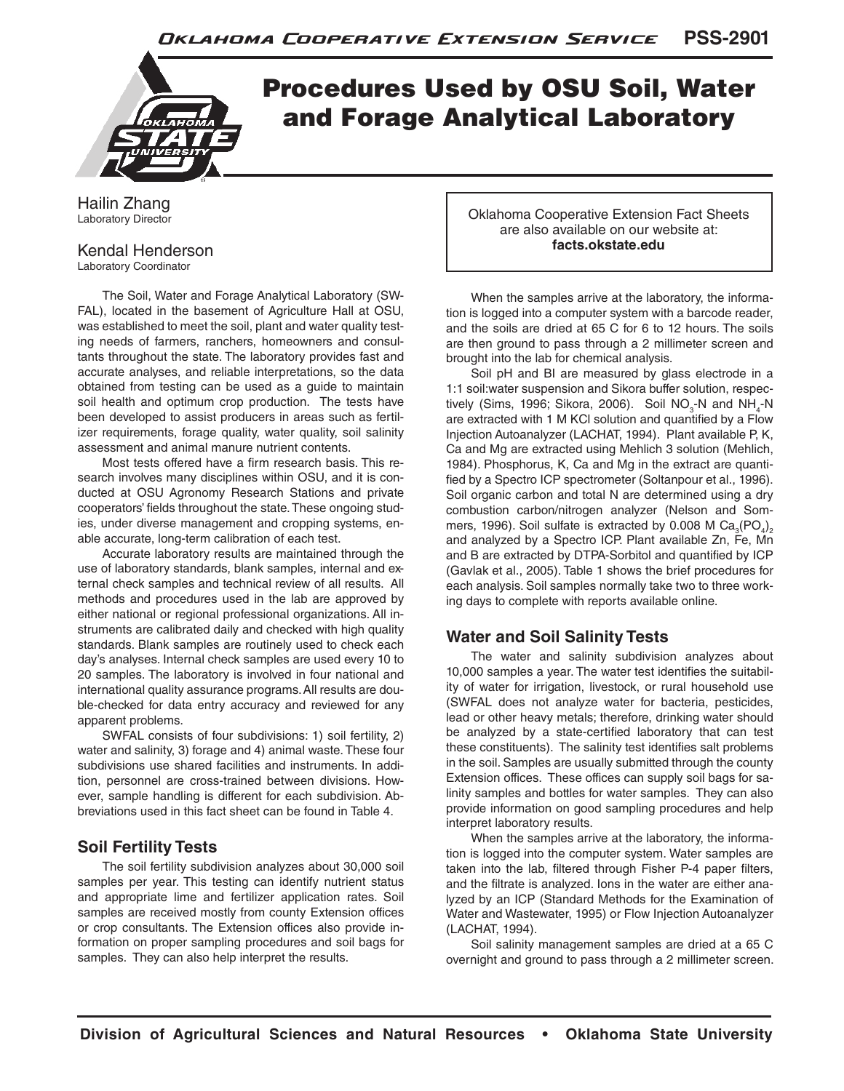

# Procedures Used by OSU Soil, Water and Forage Analytical Laboratory

Hailin Zhang Laboratory Director

#### Kendal Henderson Laboratory Coordinator

The Soil, Water and Forage Analytical Laboratory (SW-FAL), located in the basement of Agriculture Hall at OSU, was established to meet the soil, plant and water quality testing needs of farmers, ranchers, homeowners and consultants throughout the state. The laboratory provides fast and accurate analyses, and reliable interpretations, so the data obtained from testing can be used as a guide to maintain soil health and optimum crop production. The tests have been developed to assist producers in areas such as fertilizer requirements, forage quality, water quality, soil salinity assessment and animal manure nutrient contents.

Most tests offered have a firm research basis. This research involves many disciplines within OSU, and it is conducted at OSU Agronomy Research Stations and private cooperators' fields throughout the state. These ongoing studies, under diverse management and cropping systems, enable accurate, long-term calibration of each test.

Accurate laboratory results are maintained through the use of laboratory standards, blank samples, internal and external check samples and technical review of all results. All methods and procedures used in the lab are approved by either national or regional professional organizations. All instruments are calibrated daily and checked with high quality standards. Blank samples are routinely used to check each day's analyses. Internal check samples are used every 10 to 20 samples. The laboratory is involved in four national and international quality assurance programs. All results are double-checked for data entry accuracy and reviewed for any apparent problems.

SWFAL consists of four subdivisions: 1) soil fertility, 2) water and salinity, 3) forage and 4) animal waste. These four subdivisions use shared facilities and instruments. In addition, personnel are cross-trained between divisions. However, sample handling is different for each subdivision. Abbreviations used in this fact sheet can be found in Table 4.

# **Soil Fertility Tests**

The soil fertility subdivision analyzes about 30,000 soil samples per year. This testing can identify nutrient status and appropriate lime and fertilizer application rates. Soil samples are received mostly from county Extension offices or crop consultants. The Extension offices also provide information on proper sampling procedures and soil bags for samples. They can also help interpret the results.

Oklahoma Cooperative Extension Fact Sheets are also available on our website at: **facts.okstate.edu**

When the samples arrive at the laboratory, the information is logged into a computer system with a barcode reader, and the soils are dried at 65 C for 6 to 12 hours. The soils are then ground to pass through a 2 millimeter screen and brought into the lab for chemical analysis.

Soil pH and BI are measured by glass electrode in a 1:1 soil:water suspension and Sikora buffer solution, respectively (Sims, 1996; Sikora, 2006). Soil NO<sub>3</sub>-N and NH<sub>4</sub>-N are extracted with 1 M KCl solution and quantified by a Flow Injection Autoanalyzer (LACHAT, 1994). Plant available P, K, Ca and Mg are extracted using Mehlich 3 solution (Mehlich, 1984). Phosphorus, K, Ca and Mg in the extract are quantified by a Spectro ICP spectrometer (Soltanpour et al., 1996). Soil organic carbon and total N are determined using a dry combustion carbon/nitrogen analyzer (Nelson and Sommers, 1996). Soil sulfate is extracted by 0.008 M  $\text{Ca}_{_{3}}\text{(PO}_{_{4})_{2}}$ and analyzed by a Spectro ICP. Plant available Zn, Fe, Mn and B are extracted by DTPA-Sorbitol and quantified by ICP (Gavlak et al., 2005). Table 1 shows the brief procedures for each analysis. Soil samples normally take two to three working days to complete with reports available online.

# **Water and Soil Salinity Tests**

The water and salinity subdivision analyzes about 10,000 samples a year. The water test identifies the suitability of water for irrigation, livestock, or rural household use (SWFAL does not analyze water for bacteria, pesticides, lead or other heavy metals; therefore, drinking water should be analyzed by a state-certified laboratory that can test these constituents). The salinity test identifies salt problems in the soil. Samples are usually submitted through the county Extension offices. These offices can supply soil bags for salinity samples and bottles for water samples. They can also provide information on good sampling procedures and help interpret laboratory results.

When the samples arrive at the laboratory, the information is logged into the computer system. Water samples are taken into the lab, filtered through Fisher P-4 paper filters, and the filtrate is analyzed. Ions in the water are either analyzed by an ICP (Standard Methods for the Examination of Water and Wastewater, 1995) or Flow Injection Autoanalyzer (LACHAT, 1994).

Soil salinity management samples are dried at a 65 C overnight and ground to pass through a 2 millimeter screen.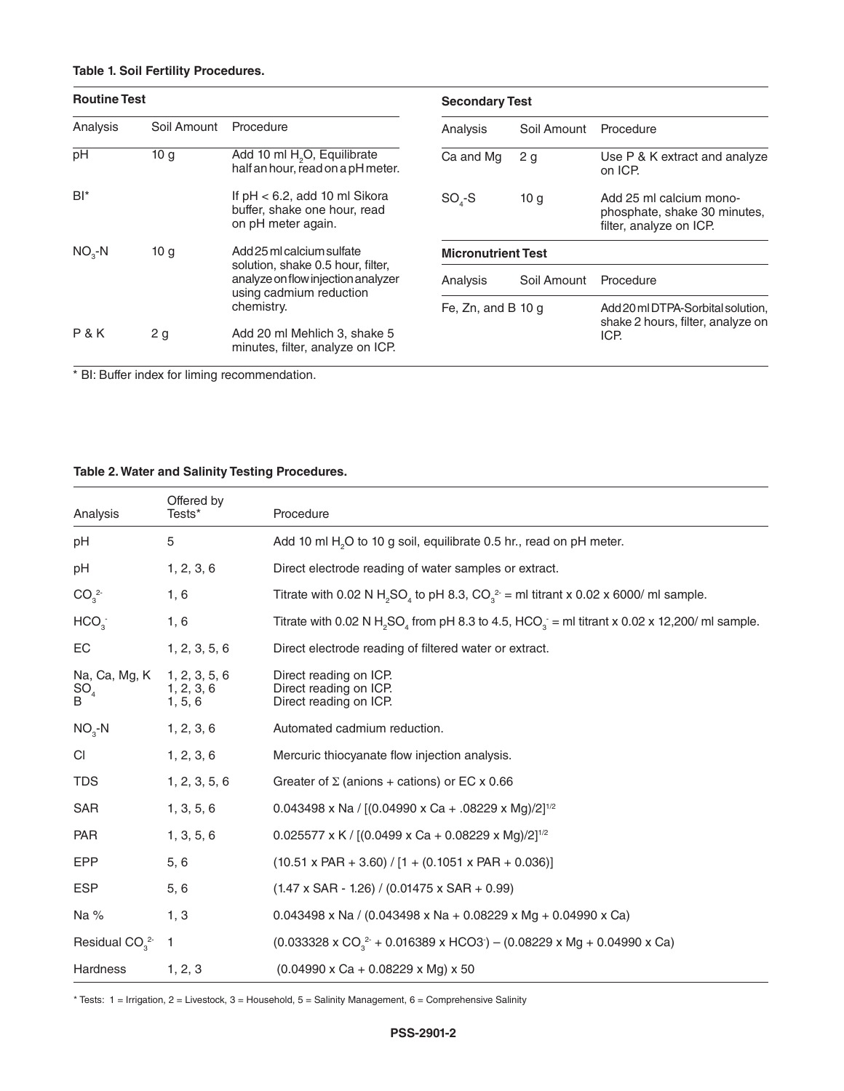# **Table 1. Soil Fertility Procedures.**

| <b>Routine Test</b> |                        |                                                                                                                                               | <b>Secondary Test</b>     |                 |                                                                                    |
|---------------------|------------------------|-----------------------------------------------------------------------------------------------------------------------------------------------|---------------------------|-----------------|------------------------------------------------------------------------------------|
| Analysis            | Soil Amount            | Procedure                                                                                                                                     | Analysis                  | Soil Amount     | Procedure                                                                          |
| pH                  | 10 <sub>g</sub>        | Add 10 ml H <sub>2</sub> O, Equilibrate<br>half an hour, read on a pH meter.                                                                  | Ca and Mg                 | 2 <sub>q</sub>  | Use P & K extract and analyze<br>on ICP.                                           |
| $BI^*$              |                        | If $pH < 6.2$ , add 10 ml Sikora<br>buffer, shake one hour, read<br>on pH meter again.                                                        | $SO - S$                  | 10 <sub>g</sub> | Add 25 ml calcium mono-<br>phosphate, shake 30 minutes,<br>filter, analyze on ICP. |
| $NO3-N$             | 10 <sub>g</sub><br>2 g | Add 25 ml calcium sulfate<br>solution, shake 0.5 hour, filter,<br>analyze on flow injection analyzer<br>using cadmium reduction<br>chemistry. | <b>Micronutrient Test</b> |                 |                                                                                    |
|                     |                        |                                                                                                                                               | Analysis                  | Soil Amount     | Procedure                                                                          |
|                     |                        |                                                                                                                                               | Fe, $Zn$ , and B 10 g     |                 | Add 20 ml DTPA-Sorbital solution,<br>shake 2 hours, filter, analyze on             |
| P&K                 |                        | Add 20 ml Mehlich 3, shake 5<br>minutes, filter, analyze on ICP.                                                                              |                           |                 | ICP.                                                                               |

\* BI: Buffer index for liming recommendation.

# **Table 2. Water and Salinity Testing Procedures.**

| Analysis                         | Offered by<br>Tests*                   | Procedure                                                                                                                         |
|----------------------------------|----------------------------------------|-----------------------------------------------------------------------------------------------------------------------------------|
| рH                               | 5                                      | Add 10 ml H <sub>2</sub> O to 10 g soil, equilibrate 0.5 hr., read on pH meter.                                                   |
| рH                               | 1, 2, 3, 6                             | Direct electrode reading of water samples or extract.                                                                             |
| CO <sub>3</sub> <sup>2</sup>     | 1, 6                                   | Titrate with 0.02 N H <sub>2</sub> SO <sub>4</sub> to pH 8.3, CO <sub>3</sub> <sup>2</sup> = ml titrant x 0.02 x 6000/ ml sample. |
| HCO <sub>3</sub>                 | 1, 6                                   | Titrate with 0.02 N H <sub>2</sub> SO <sub>4</sub> from pH 8.3 to 4.5, HCO <sub>3</sub> = ml titrant x 0.02 x 12,200/ ml sample.  |
| EC                               | 1, 2, 3, 5, 6                          | Direct electrode reading of filtered water or extract.                                                                            |
| Na, Ca, Mg, K<br>SO <sub>4</sub> | 1, 2, 3, 5, 6<br>1, 2, 3, 6<br>1, 5, 6 | Direct reading on ICP.<br>Direct reading on ICP.<br>Direct reading on ICP.                                                        |
| $NO3-N$                          | 1, 2, 3, 6                             | Automated cadmium reduction.                                                                                                      |
| CI.                              | 1, 2, 3, 6                             | Mercuric thiocyanate flow injection analysis.                                                                                     |
| <b>TDS</b>                       | 1, 2, 3, 5, 6                          | Greater of $\Sigma$ (anions + cations) or EC x 0.66                                                                               |
| <b>SAR</b>                       | 1, 3, 5, 6                             | 0.043498 x Na / $[(0.04990 \times Ca + .08229 \times Mg)/2]^{1/2}]$                                                               |
| <b>PAR</b>                       | 1, 3, 5, 6                             | $0.025577 \times K / [(0.0499 \times Ca + 0.08229 \times Mg)/2]^{1/2}$                                                            |
| EPP                              | 5, 6                                   | $(10.51 \times PAR + 3.60) / [1 + (0.1051 \times PAR + 0.036)]$                                                                   |
| <b>ESP</b>                       | 5, 6                                   | $(1.47 \times \text{SAR} - 1.26) / (0.01475 \times \text{SAR} + 0.99)$                                                            |
| Na %                             | 1, 3                                   | 0.043498 x Na / (0.043498 x Na + 0.08229 x Mg + 0.04990 x Ca)                                                                     |
| Residual $CO32$                  | $\overline{1}$                         | $(0.033328 \times CO32 + 0.016389 \times HCO3) - (0.08229 \times Mg + 0.04990 \times Ca)$                                         |
| Hardness                         | 1, 2, 3                                | $(0.04990 \times Ca + 0.08229 \times Mg) \times 50$                                                                               |

\* Tests: 1 = Irrigation, 2 = Livestock, 3 = Household, 5 = Salinity Management, 6 = Comprehensive Salinity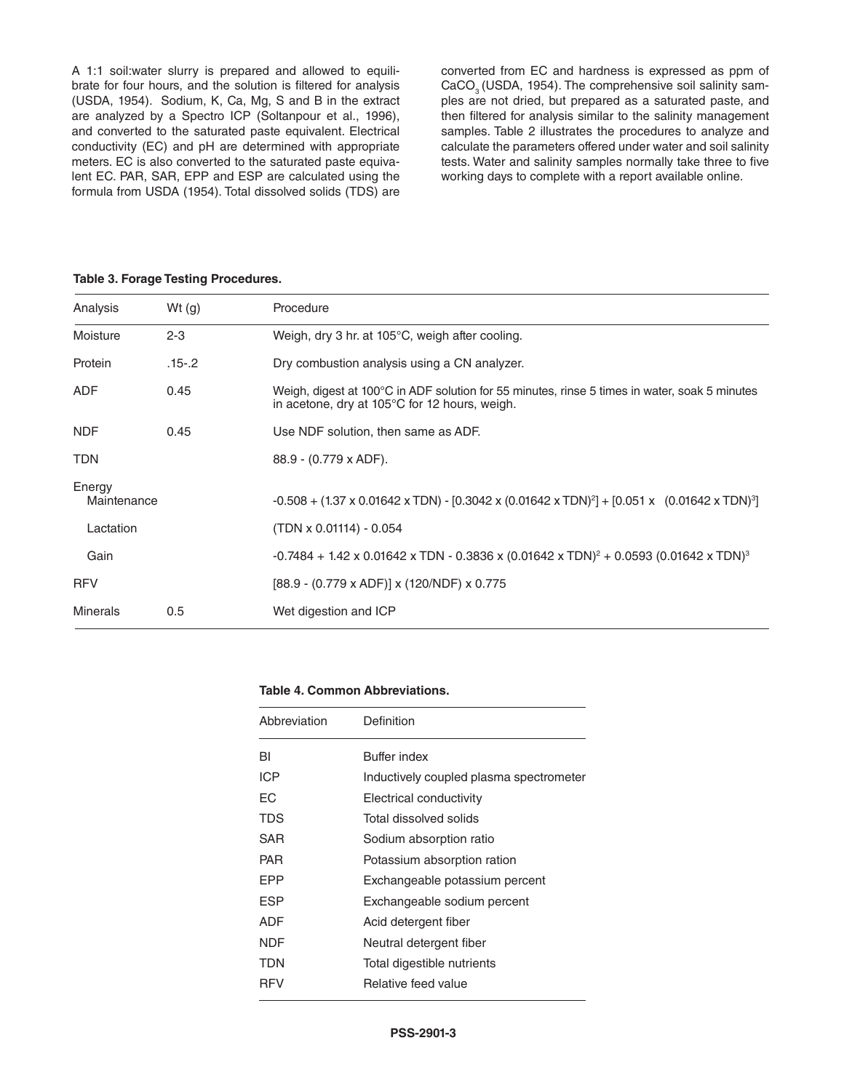A 1:1 soil:water slurry is prepared and allowed to equilibrate for four hours, and the solution is filtered for analysis (USDA, 1954). Sodium, K, Ca, Mg, S and B in the extract are analyzed by a Spectro ICP (Soltanpour et al., 1996), and converted to the saturated paste equivalent. Electrical conductivity (EC) and pH are determined with appropriate meters. EC is also converted to the saturated paste equivalent EC. PAR, SAR, EPP and ESP are calculated using the formula from USDA (1954). Total dissolved solids (TDS) are converted from EC and hardness is expressed as ppm of CaCO<sub>3</sub> (USDA, 1954). The comprehensive soil salinity samples are not dried, but prepared as a saturated paste, and then filtered for analysis similar to the salinity management samples. Table 2 illustrates the procedures to analyze and calculate the parameters offered under water and soil salinity tests. Water and salinity samples normally take three to five working days to complete with a report available online.

#### **Table 3. Forage Testing Procedures.**

| Analysis              | Wt $(g)$   | Procedure                                                                                                                                      |
|-----------------------|------------|------------------------------------------------------------------------------------------------------------------------------------------------|
| Moisture              | $2 - 3$    | Weigh, dry 3 hr. at 105°C, weigh after cooling.                                                                                                |
| Protein               | $.15 - .2$ | Dry combustion analysis using a CN analyzer.                                                                                                   |
| <b>ADF</b>            | 0.45       | Weigh, digest at 100°C in ADF solution for 55 minutes, rinse 5 times in water, soak 5 minutes<br>in acetone, dry at 105°C for 12 hours, weigh. |
| <b>NDF</b>            | 0.45       | Use NDF solution, then same as ADF.                                                                                                            |
| <b>TDN</b>            |            | $88.9 - (0.779 \times ADF)$ .                                                                                                                  |
| Energy<br>Maintenance |            | $-0.508 + (1.37 \times 0.01642 \times TDN) - [0.3042 \times (0.01642 \times TDN)^{2}] + [0.051 \times (0.01642 \times TDN)^{3}]$               |
| Lactation             |            | (TDN x 0.01114) - 0.054                                                                                                                        |
| Gain                  |            | $-0.7484 + 1.42 \times 0.01642 \times TDN - 0.3836 \times (0.01642 \times TDN)^2 + 0.0593 (0.01642 \times TDN)^3$                              |
| <b>RFV</b>            |            | $[88.9 - (0.779 \times ADF)] \times (120/NDF) \times 0.775$                                                                                    |
| Minerals<br>0.5       |            | Wet digestion and ICP                                                                                                                          |

#### **Table 4. Common Abbreviations.**

| Abbreviation | Definition                              |
|--------------|-----------------------------------------|
| BI           | <b>Buffer index</b>                     |
| <b>ICP</b>   | Inductively coupled plasma spectrometer |
| EС           | Electrical conductivity                 |
| TDS          | Total dissolved solids                  |
| SAR          | Sodium absorption ratio                 |
| PAR.         | Potassium absorption ration             |
| EPP          | Exchangeable potassium percent          |
| ESP          | Exchangeable sodium percent             |
| ADF          | Acid detergent fiber                    |
| NDF          | Neutral detergent fiber                 |
| <b>TDN</b>   | Total digestible nutrients              |
| RFV          | Relative feed value                     |
|              |                                         |